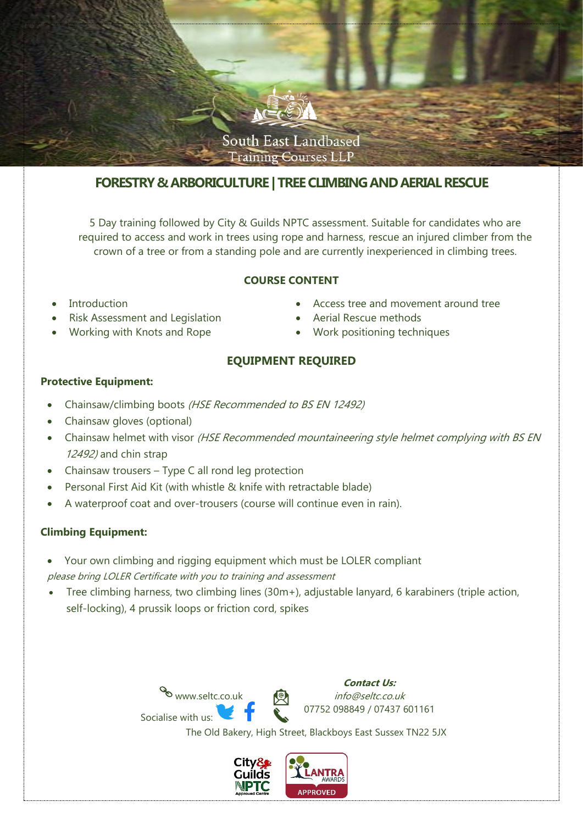

# **FORESTRY & ARBORICULTURE | TREE CLIMBING AND AERIAL RESCUE**

5 Day training followed by City & Guilds NPTC assessment. Suitable for candidates who are required to access and work in trees using rope and harness, rescue an injured climber from the crown of a tree or from a standing pole and are currently inexperienced in climbing trees.

### **COURSE CONTENT**

- **Introduction**
- Risk Assessment and Legislation
- Working with Knots and Rope
- Access tree and movement around tree
- Aerial Rescue methods
- Work positioning techniques

# **EQUIPMENT REQUIRED**

### **Protective Equipment:**

- Chainsaw/climbing boots (HSE Recommended to BS EN 12492)
- Chainsaw gloves (optional)
- Chainsaw helmet with visor (HSE Recommended mountaineering style helmet complying with BS EN 12492) and chin strap
- Chainsaw trousers Type C all rond leg protection
- Personal First Aid Kit (with whistle & knife with retractable blade)
- A waterproof coat and over-trousers (course will continue even in rain).

## **Climbing Equipment:**

- Your own climbing and rigging equipment which must be LOLER compliant please bring LOLER Certificate with you to training and assessment
- Tree climbing harness, two climbing lines (30m+), adjustable lanyard, 6 karabiners (triple action, self-locking), 4 prussik loops or friction cord, spikes